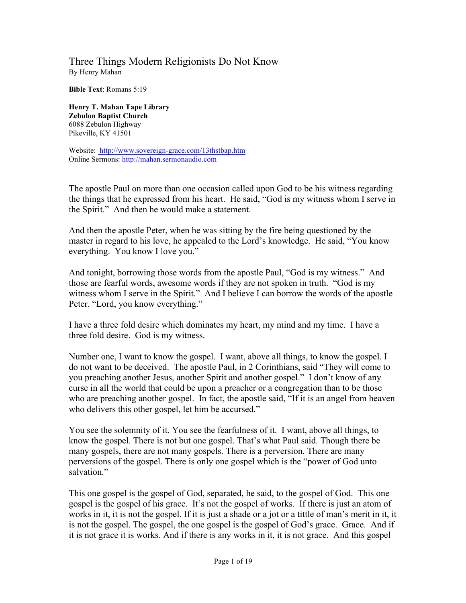## Three Things Modern Religionists Do Not Know By Henry Mahan

**Bible Text**: Romans 5:19

**Henry T. Mahan Tape Library Zebulon Baptist Church** 6088 Zebulon Highway Pikeville, KY 41501

Website: http://www.sovereign-grace.com/13thstbap.htm Online Sermons: http://mahan.sermonaudio.com

The apostle Paul on more than one occasion called upon God to be his witness regarding the things that he expressed from his heart. He said, "God is my witness whom I serve in the Spirit." And then he would make a statement.

And then the apostle Peter, when he was sitting by the fire being questioned by the master in regard to his love, he appealed to the Lord's knowledge. He said, "You know everything. You know I love you."

And tonight, borrowing those words from the apostle Paul, "God is my witness." And those are fearful words, awesome words if they are not spoken in truth. "God is my witness whom I serve in the Spirit." And I believe I can borrow the words of the apostle Peter. "Lord, you know everything."

I have a three fold desire which dominates my heart, my mind and my time. I have a three fold desire. God is my witness.

Number one, I want to know the gospel. I want, above all things, to know the gospel. I do not want to be deceived. The apostle Paul, in 2 Corinthians, said "They will come to you preaching another Jesus, another Spirit and another gospel." I don't know of any curse in all the world that could be upon a preacher or a congregation than to be those who are preaching another gospel. In fact, the apostle said, "If it is an angel from heaven who delivers this other gospel, let him be accursed."

You see the solemnity of it. You see the fearfulness of it. I want, above all things, to know the gospel. There is not but one gospel. That's what Paul said. Though there be many gospels, there are not many gospels. There is a perversion. There are many perversions of the gospel. There is only one gospel which is the "power of God unto salvation."

This one gospel is the gospel of God, separated, he said, to the gospel of God. This one gospel is the gospel of his grace. It's not the gospel of works. If there is just an atom of works in it, it is not the gospel. If it is just a shade or a jot or a tittle of man's merit in it, it is not the gospel. The gospel, the one gospel is the gospel of God's grace. Grace. And if it is not grace it is works. And if there is any works in it, it is not grace. And this gospel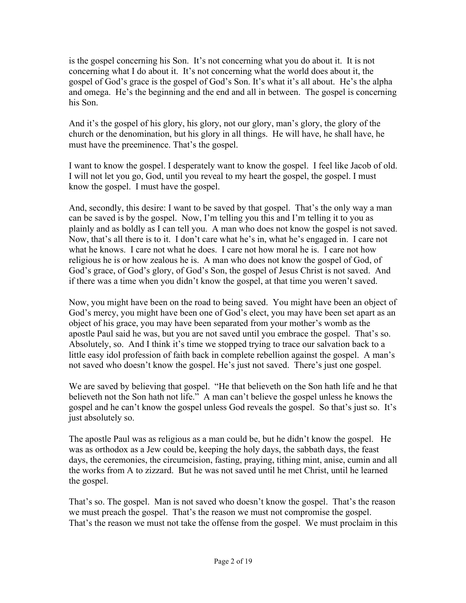is the gospel concerning his Son. It's not concerning what you do about it. It is not concerning what I do about it. It's not concerning what the world does about it, the gospel of God's grace is the gospel of God's Son. It's what it's all about. He's the alpha and omega. He's the beginning and the end and all in between. The gospel is concerning his Son.

And it's the gospel of his glory, his glory, not our glory, man's glory, the glory of the church or the denomination, but his glory in all things. He will have, he shall have, he must have the preeminence. That's the gospel.

I want to know the gospel. I desperately want to know the gospel. I feel like Jacob of old. I will not let you go, God, until you reveal to my heart the gospel, the gospel. I must know the gospel. I must have the gospel.

And, secondly, this desire: I want to be saved by that gospel. That's the only way a man can be saved is by the gospel. Now, I'm telling you this and I'm telling it to you as plainly and as boldly as I can tell you. A man who does not know the gospel is not saved. Now, that's all there is to it. I don't care what he's in, what he's engaged in. I care not what he knows. I care not what he does. I care not how moral he is. I care not how religious he is or how zealous he is. A man who does not know the gospel of God, of God's grace, of God's glory, of God's Son, the gospel of Jesus Christ is not saved. And if there was a time when you didn't know the gospel, at that time you weren't saved.

Now, you might have been on the road to being saved. You might have been an object of God's mercy, you might have been one of God's elect, you may have been set apart as an object of his grace, you may have been separated from your mother's womb as the apostle Paul said he was, but you are not saved until you embrace the gospel. That's so. Absolutely, so. And I think it's time we stopped trying to trace our salvation back to a little easy idol profession of faith back in complete rebellion against the gospel. A man's not saved who doesn't know the gospel. He's just not saved. There's just one gospel.

We are saved by believing that gospel. "He that believeth on the Son hath life and he that believeth not the Son hath not life." A man can't believe the gospel unless he knows the gospel and he can't know the gospel unless God reveals the gospel. So that's just so. It's just absolutely so.

The apostle Paul was as religious as a man could be, but he didn't know the gospel. He was as orthodox as a Jew could be, keeping the holy days, the sabbath days, the feast days, the ceremonies, the circumcision, fasting, praying, tithing mint, anise, cumin and all the works from A to zizzard. But he was not saved until he met Christ, until he learned the gospel.

That's so. The gospel. Man is not saved who doesn't know the gospel. That's the reason we must preach the gospel. That's the reason we must not compromise the gospel. That's the reason we must not take the offense from the gospel. We must proclaim in this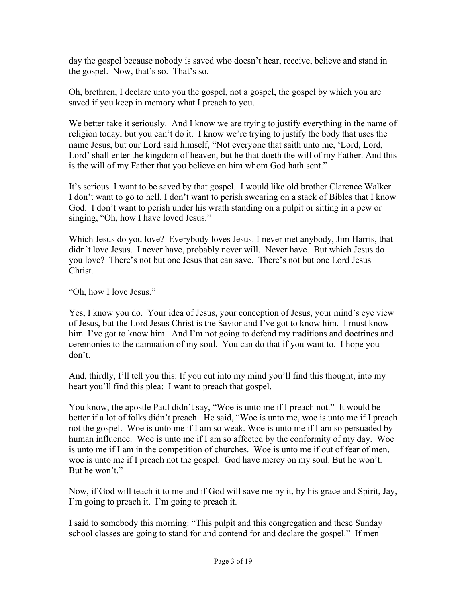day the gospel because nobody is saved who doesn't hear, receive, believe and stand in the gospel. Now, that's so. That's so.

Oh, brethren, I declare unto you the gospel, not a gospel, the gospel by which you are saved if you keep in memory what I preach to you.

We better take it seriously. And I know we are trying to justify everything in the name of religion today, but you can't do it. I know we're trying to justify the body that uses the name Jesus, but our Lord said himself, "Not everyone that saith unto me, 'Lord, Lord, Lord' shall enter the kingdom of heaven, but he that doeth the will of my Father. And this is the will of my Father that you believe on him whom God hath sent."

It's serious. I want to be saved by that gospel. I would like old brother Clarence Walker. I don't want to go to hell. I don't want to perish swearing on a stack of Bibles that I know God. I don't want to perish under his wrath standing on a pulpit or sitting in a pew or singing, "Oh, how I have loved Jesus."

Which Jesus do you love? Everybody loves Jesus. I never met anybody, Jim Harris, that didn't love Jesus. I never have, probably never will. Never have. But which Jesus do you love? There's not but one Jesus that can save. There's not but one Lord Jesus Christ.

"Oh, how I love Jesus."

Yes, I know you do. Your idea of Jesus, your conception of Jesus, your mind's eye view of Jesus, but the Lord Jesus Christ is the Savior and I've got to know him. I must know him. I've got to know him. And I'm not going to defend my traditions and doctrines and ceremonies to the damnation of my soul. You can do that if you want to. I hope you don't.

And, thirdly, I'll tell you this: If you cut into my mind you'll find this thought, into my heart you'll find this plea: I want to preach that gospel.

You know, the apostle Paul didn't say, "Woe is unto me if I preach not." It would be better if a lot of folks didn't preach. He said, "Woe is unto me, woe is unto me if I preach not the gospel. Woe is unto me if I am so weak. Woe is unto me if I am so persuaded by human influence. Woe is unto me if I am so affected by the conformity of my day. Woe is unto me if I am in the competition of churches. Woe is unto me if out of fear of men, woe is unto me if I preach not the gospel. God have mercy on my soul. But he won't. But he won't."

Now, if God will teach it to me and if God will save me by it, by his grace and Spirit, Jay, I'm going to preach it. I'm going to preach it.

I said to somebody this morning: "This pulpit and this congregation and these Sunday school classes are going to stand for and contend for and declare the gospel." If men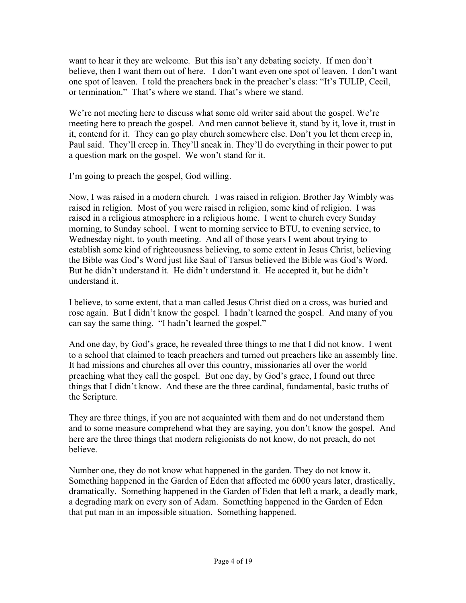want to hear it they are welcome. But this isn't any debating society. If men don't believe, then I want them out of here. I don't want even one spot of leaven. I don't want one spot of leaven. I told the preachers back in the preacher's class: "It's TULIP, Cecil, or termination." That's where we stand. That's where we stand.

We're not meeting here to discuss what some old writer said about the gospel. We're meeting here to preach the gospel. And men cannot believe it, stand by it, love it, trust in it, contend for it. They can go play church somewhere else. Don't you let them creep in, Paul said. They'll creep in. They'll sneak in. They'll do everything in their power to put a question mark on the gospel. We won't stand for it.

I'm going to preach the gospel, God willing.

Now, I was raised in a modern church. I was raised in religion. Brother Jay Wimbly was raised in religion. Most of you were raised in religion, some kind of religion. I was raised in a religious atmosphere in a religious home. I went to church every Sunday morning, to Sunday school. I went to morning service to BTU, to evening service, to Wednesday night, to youth meeting. And all of those years I went about trying to establish some kind of righteousness believing, to some extent in Jesus Christ, believing the Bible was God's Word just like Saul of Tarsus believed the Bible was God's Word. But he didn't understand it. He didn't understand it. He accepted it, but he didn't understand it.

I believe, to some extent, that a man called Jesus Christ died on a cross, was buried and rose again. But I didn't know the gospel. I hadn't learned the gospel. And many of you can say the same thing. "I hadn't learned the gospel."

And one day, by God's grace, he revealed three things to me that I did not know. I went to a school that claimed to teach preachers and turned out preachers like an assembly line. It had missions and churches all over this country, missionaries all over the world preaching what they call the gospel. But one day, by God's grace, I found out three things that I didn't know. And these are the three cardinal, fundamental, basic truths of the Scripture.

They are three things, if you are not acquainted with them and do not understand them and to some measure comprehend what they are saying, you don't know the gospel. And here are the three things that modern religionists do not know, do not preach, do not believe.

Number one, they do not know what happened in the garden. They do not know it. Something happened in the Garden of Eden that affected me 6000 years later, drastically, dramatically. Something happened in the Garden of Eden that left a mark, a deadly mark, a degrading mark on every son of Adam. Something happened in the Garden of Eden that put man in an impossible situation. Something happened.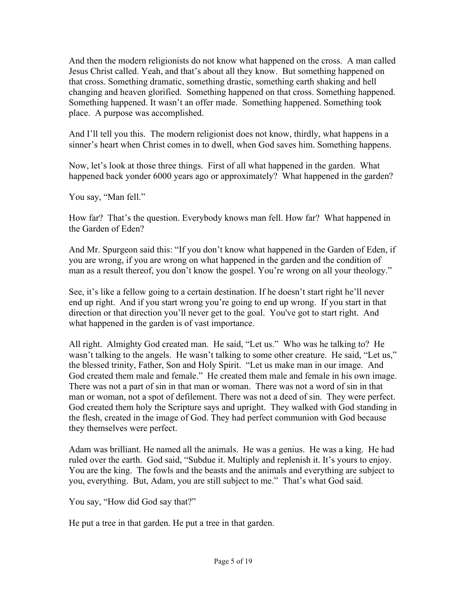And then the modern religionists do not know what happened on the cross. A man called Jesus Christ called. Yeah, and that's about all they know. But something happened on that cross. Something dramatic, something drastic, something earth shaking and hell changing and heaven glorified. Something happened on that cross. Something happened. Something happened. It wasn't an offer made. Something happened. Something took place. A purpose was accomplished.

And I'll tell you this. The modern religionist does not know, thirdly, what happens in a sinner's heart when Christ comes in to dwell, when God saves him. Something happens.

Now, let's look at those three things. First of all what happened in the garden. What happened back yonder 6000 years ago or approximately? What happened in the garden?

You say, "Man fell."

How far? That's the question. Everybody knows man fell. How far? What happened in the Garden of Eden?

And Mr. Spurgeon said this: "If you don't know what happened in the Garden of Eden, if you are wrong, if you are wrong on what happened in the garden and the condition of man as a result thereof, you don't know the gospel. You're wrong on all your theology."

See, it's like a fellow going to a certain destination. If he doesn't start right he'll never end up right. And if you start wrong you're going to end up wrong. If you start in that direction or that direction you'll never get to the goal. You've got to start right. And what happened in the garden is of vast importance.

All right. Almighty God created man. He said, "Let us." Who was he talking to? He wasn't talking to the angels. He wasn't talking to some other creature. He said, "Let us," the blessed trinity, Father, Son and Holy Spirit. "Let us make man in our image. And God created them male and female." He created them male and female in his own image. There was not a part of sin in that man or woman. There was not a word of sin in that man or woman, not a spot of defilement. There was not a deed of sin. They were perfect. God created them holy the Scripture says and upright. They walked with God standing in the flesh, created in the image of God. They had perfect communion with God because they themselves were perfect.

Adam was brilliant. He named all the animals. He was a genius. He was a king. He had ruled over the earth. God said, "Subdue it. Multiply and replenish it. It's yours to enjoy. You are the king. The fowls and the beasts and the animals and everything are subject to you, everything. But, Adam, you are still subject to me." That's what God said.

You say, "How did God say that?"

He put a tree in that garden. He put a tree in that garden.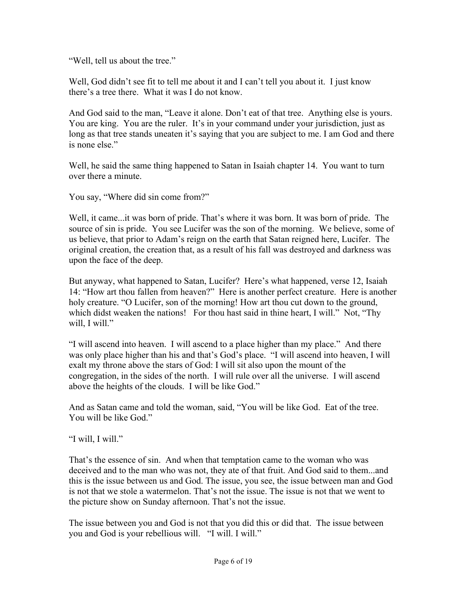"Well, tell us about the tree."

Well, God didn't see fit to tell me about it and I can't tell you about it. I just know there's a tree there. What it was I do not know.

And God said to the man, "Leave it alone. Don't eat of that tree. Anything else is yours. You are king. You are the ruler. It's in your command under your jurisdiction, just as long as that tree stands uneaten it's saying that you are subject to me. I am God and there is none else."

Well, he said the same thing happened to Satan in Isaiah chapter 14. You want to turn over there a minute.

You say, "Where did sin come from?"

Well, it came...it was born of pride. That's where it was born. It was born of pride. The source of sin is pride. You see Lucifer was the son of the morning. We believe, some of us believe, that prior to Adam's reign on the earth that Satan reigned here, Lucifer. The original creation, the creation that, as a result of his fall was destroyed and darkness was upon the face of the deep.

But anyway, what happened to Satan, Lucifer? Here's what happened, verse 12, Isaiah 14: "How art thou fallen from heaven?" Here is another perfect creature. Here is another holy creature. "O Lucifer, son of the morning! How art thou cut down to the ground, which didst weaken the nations! For thou hast said in thine heart, I will." Not, "Thy will, I will."

"I will ascend into heaven. I will ascend to a place higher than my place." And there was only place higher than his and that's God's place. "I will ascend into heaven, I will exalt my throne above the stars of God: I will sit also upon the mount of the congregation, in the sides of the north. I will rule over all the universe. I will ascend above the heights of the clouds. I will be like God."

And as Satan came and told the woman, said, "You will be like God. Eat of the tree. You will be like God."

"I will, I will."

That's the essence of sin. And when that temptation came to the woman who was deceived and to the man who was not, they ate of that fruit. And God said to them...and this is the issue between us and God. The issue, you see, the issue between man and God is not that we stole a watermelon. That's not the issue. The issue is not that we went to the picture show on Sunday afternoon. That's not the issue.

The issue between you and God is not that you did this or did that. The issue between you and God is your rebellious will. "I will. I will."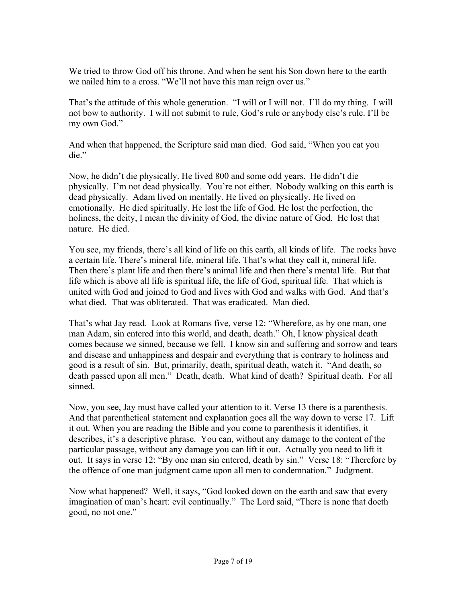We tried to throw God off his throne. And when he sent his Son down here to the earth we nailed him to a cross. "We'll not have this man reign over us."

That's the attitude of this whole generation. "I will or I will not. I'll do my thing. I will not bow to authority. I will not submit to rule, God's rule or anybody else's rule. I'll be my own God."

And when that happened, the Scripture said man died. God said, "When you eat you die."

Now, he didn't die physically. He lived 800 and some odd years. He didn't die physically. I'm not dead physically. You're not either. Nobody walking on this earth is dead physically. Adam lived on mentally. He lived on physically. He lived on emotionally. He died spiritually. He lost the life of God. He lost the perfection, the holiness, the deity, I mean the divinity of God, the divine nature of God. He lost that nature. He died.

You see, my friends, there's all kind of life on this earth, all kinds of life. The rocks have a certain life. There's mineral life, mineral life. That's what they call it, mineral life. Then there's plant life and then there's animal life and then there's mental life. But that life which is above all life is spiritual life, the life of God, spiritual life. That which is united with God and joined to God and lives with God and walks with God. And that's what died. That was obliterated. That was eradicated. Man died.

That's what Jay read. Look at Romans five, verse 12: "Wherefore, as by one man, one man Adam, sin entered into this world, and death, death." Oh, I know physical death comes because we sinned, because we fell. I know sin and suffering and sorrow and tears and disease and unhappiness and despair and everything that is contrary to holiness and good is a result of sin. But, primarily, death, spiritual death, watch it. "And death, so death passed upon all men." Death, death. What kind of death? Spiritual death. For all sinned.

Now, you see, Jay must have called your attention to it. Verse 13 there is a parenthesis. And that parenthetical statement and explanation goes all the way down to verse 17. Lift it out. When you are reading the Bible and you come to parenthesis it identifies, it describes, it's a descriptive phrase. You can, without any damage to the content of the particular passage, without any damage you can lift it out. Actually you need to lift it out. It says in verse 12: "By one man sin entered, death by sin." Verse 18: "Therefore by the offence of one man judgment came upon all men to condemnation." Judgment.

Now what happened? Well, it says, "God looked down on the earth and saw that every imagination of man's heart: evil continually." The Lord said, "There is none that doeth good, no not one."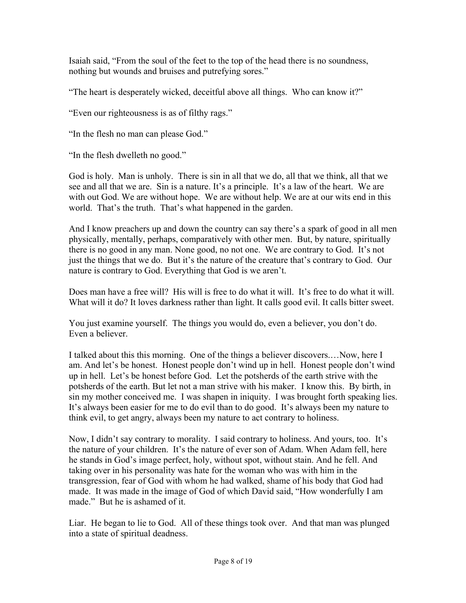Isaiah said, "From the soul of the feet to the top of the head there is no soundness, nothing but wounds and bruises and putrefying sores."

"The heart is desperately wicked, deceitful above all things. Who can know it?"

"Even our righteousness is as of filthy rags."

"In the flesh no man can please God."

"In the flesh dwelleth no good."

God is holy. Man is unholy. There is sin in all that we do, all that we think, all that we see and all that we are. Sin is a nature. It's a principle. It's a law of the heart. We are with out God. We are without hope. We are without help. We are at our wits end in this world. That's the truth. That's what happened in the garden.

And I know preachers up and down the country can say there's a spark of good in all men physically, mentally, perhaps, comparatively with other men. But, by nature, spiritually there is no good in any man. None good, no not one. We are contrary to God. It's not just the things that we do. But it's the nature of the creature that's contrary to God. Our nature is contrary to God. Everything that God is we aren't.

Does man have a free will? His will is free to do what it will. It's free to do what it will. What will it do? It loves darkness rather than light. It calls good evil. It calls bitter sweet.

You just examine yourself. The things you would do, even a believer, you don't do. Even a believer.

I talked about this this morning. One of the things a believer discovers.…Now, here I am. And let's be honest. Honest people don't wind up in hell. Honest people don't wind up in hell. Let's be honest before God. Let the potsherds of the earth strive with the potsherds of the earth. But let not a man strive with his maker. I know this. By birth, in sin my mother conceived me. I was shapen in iniquity. I was brought forth speaking lies. It's always been easier for me to do evil than to do good. It's always been my nature to think evil, to get angry, always been my nature to act contrary to holiness.

Now, I didn't say contrary to morality. I said contrary to holiness. And yours, too. It's the nature of your children. It's the nature of ever son of Adam. When Adam fell, here he stands in God's image perfect, holy, without spot, without stain. And he fell. And taking over in his personality was hate for the woman who was with him in the transgression, fear of God with whom he had walked, shame of his body that God had made. It was made in the image of God of which David said, "How wonderfully I am made." But he is ashamed of it.

Liar. He began to lie to God. All of these things took over. And that man was plunged into a state of spiritual deadness.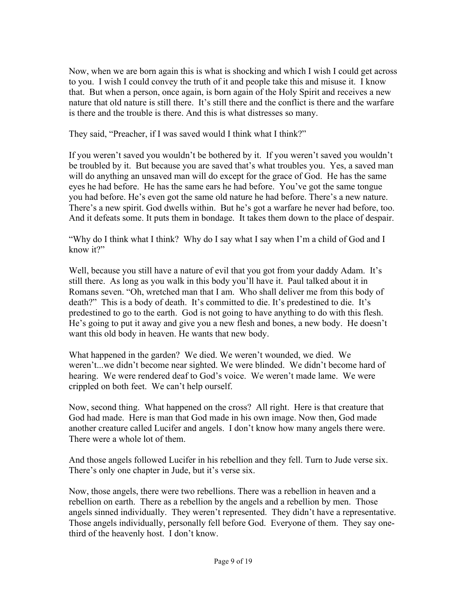Now, when we are born again this is what is shocking and which I wish I could get across to you. I wish I could convey the truth of it and people take this and misuse it. I know that. But when a person, once again, is born again of the Holy Spirit and receives a new nature that old nature is still there. It's still there and the conflict is there and the warfare is there and the trouble is there. And this is what distresses so many.

They said, "Preacher, if I was saved would I think what I think?"

If you weren't saved you wouldn't be bothered by it. If you weren't saved you wouldn't be troubled by it. But because you are saved that's what troubles you. Yes, a saved man will do anything an unsaved man will do except for the grace of God. He has the same eyes he had before. He has the same ears he had before. You've got the same tongue you had before. He's even got the same old nature he had before. There's a new nature. There's a new spirit. God dwells within. But he's got a warfare he never had before, too. And it defeats some. It puts them in bondage. It takes them down to the place of despair.

"Why do I think what I think? Why do I say what I say when I'm a child of God and I know it?"

Well, because you still have a nature of evil that you got from your daddy Adam. It's still there. As long as you walk in this body you'll have it. Paul talked about it in Romans seven. "Oh, wretched man that I am. Who shall deliver me from this body of death?" This is a body of death. It's committed to die. It's predestined to die. It's predestined to go to the earth. God is not going to have anything to do with this flesh. He's going to put it away and give you a new flesh and bones, a new body. He doesn't want this old body in heaven. He wants that new body.

What happened in the garden? We died. We weren't wounded, we died. We weren't...we didn't become near sighted. We were blinded. We didn't become hard of hearing. We were rendered deaf to God's voice. We weren't made lame. We were crippled on both feet. We can't help ourself.

Now, second thing. What happened on the cross? All right. Here is that creature that God had made. Here is man that God made in his own image. Now then, God made another creature called Lucifer and angels. I don't know how many angels there were. There were a whole lot of them.

And those angels followed Lucifer in his rebellion and they fell. Turn to Jude verse six. There's only one chapter in Jude, but it's verse six.

Now, those angels, there were two rebellions. There was a rebellion in heaven and a rebellion on earth. There as a rebellion by the angels and a rebellion by men. Those angels sinned individually. They weren't represented. They didn't have a representative. Those angels individually, personally fell before God. Everyone of them. They say onethird of the heavenly host. I don't know.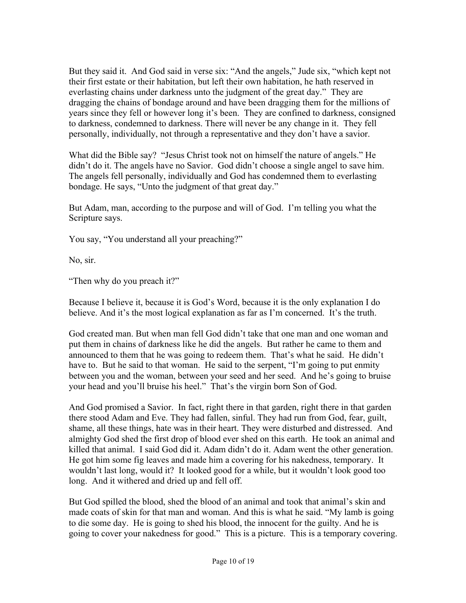But they said it. And God said in verse six: "And the angels," Jude six, "which kept not their first estate or their habitation, but left their own habitation, he hath reserved in everlasting chains under darkness unto the judgment of the great day." They are dragging the chains of bondage around and have been dragging them for the millions of years since they fell or however long it's been. They are confined to darkness, consigned to darkness, condemned to darkness. There will never be any change in it. They fell personally, individually, not through a representative and they don't have a savior.

What did the Bible say? "Jesus Christ took not on himself the nature of angels." He didn't do it. The angels have no Savior. God didn't choose a single angel to save him. The angels fell personally, individually and God has condemned them to everlasting bondage. He says, "Unto the judgment of that great day."

But Adam, man, according to the purpose and will of God. I'm telling you what the Scripture says.

You say, "You understand all your preaching?"

No, sir.

"Then why do you preach it?"

Because I believe it, because it is God's Word, because it is the only explanation I do believe. And it's the most logical explanation as far as I'm concerned. It's the truth.

God created man. But when man fell God didn't take that one man and one woman and put them in chains of darkness like he did the angels. But rather he came to them and announced to them that he was going to redeem them. That's what he said. He didn't have to. But he said to that woman. He said to the serpent, "I'm going to put enmity between you and the woman, between your seed and her seed. And he's going to bruise your head and you'll bruise his heel." That's the virgin born Son of God.

And God promised a Savior. In fact, right there in that garden, right there in that garden there stood Adam and Eve. They had fallen, sinful. They had run from God, fear, guilt, shame, all these things, hate was in their heart. They were disturbed and distressed. And almighty God shed the first drop of blood ever shed on this earth. He took an animal and killed that animal. I said God did it. Adam didn't do it. Adam went the other generation. He got him some fig leaves and made him a covering for his nakedness, temporary. It wouldn't last long, would it? It looked good for a while, but it wouldn't look good too long. And it withered and dried up and fell off.

But God spilled the blood, shed the blood of an animal and took that animal's skin and made coats of skin for that man and woman. And this is what he said. "My lamb is going to die some day. He is going to shed his blood, the innocent for the guilty. And he is going to cover your nakedness for good." This is a picture. This is a temporary covering.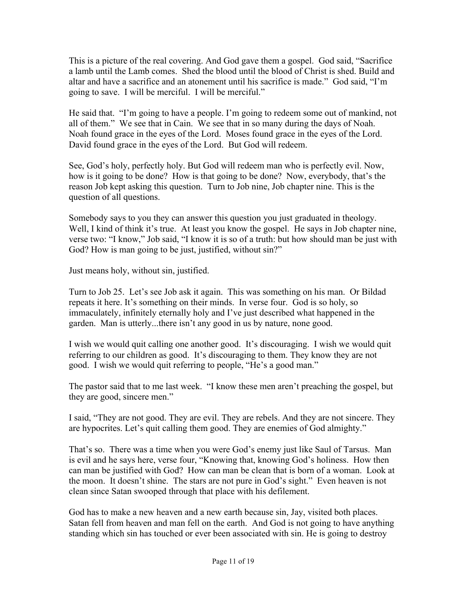This is a picture of the real covering. And God gave them a gospel. God said, "Sacrifice a lamb until the Lamb comes. Shed the blood until the blood of Christ is shed. Build and altar and have a sacrifice and an atonement until his sacrifice is made." God said, "I'm going to save. I will be merciful. I will be merciful."

He said that. "I'm going to have a people. I'm going to redeem some out of mankind, not all of them." We see that in Cain. We see that in so many during the days of Noah. Noah found grace in the eyes of the Lord. Moses found grace in the eyes of the Lord. David found grace in the eyes of the Lord. But God will redeem.

See, God's holy, perfectly holy. But God will redeem man who is perfectly evil. Now, how is it going to be done? How is that going to be done? Now, everybody, that's the reason Job kept asking this question. Turn to Job nine, Job chapter nine. This is the question of all questions.

Somebody says to you they can answer this question you just graduated in theology. Well, I kind of think it's true. At least you know the gospel. He says in Job chapter nine, verse two: "I know," Job said, "I know it is so of a truth: but how should man be just with God? How is man going to be just, justified, without sin?"

Just means holy, without sin, justified.

Turn to Job 25. Let's see Job ask it again. This was something on his man. Or Bildad repeats it here. It's something on their minds. In verse four. God is so holy, so immaculately, infinitely eternally holy and I've just described what happened in the garden. Man is utterly...there isn't any good in us by nature, none good.

I wish we would quit calling one another good. It's discouraging. I wish we would quit referring to our children as good. It's discouraging to them. They know they are not good. I wish we would quit referring to people, "He's a good man."

The pastor said that to me last week. "I know these men aren't preaching the gospel, but they are good, sincere men."

I said, "They are not good. They are evil. They are rebels. And they are not sincere. They are hypocrites. Let's quit calling them good. They are enemies of God almighty."

That's so. There was a time when you were God's enemy just like Saul of Tarsus. Man is evil and he says here, verse four, "Knowing that, knowing God's holiness. How then can man be justified with God? How can man be clean that is born of a woman. Look at the moon. It doesn't shine. The stars are not pure in God's sight." Even heaven is not clean since Satan swooped through that place with his defilement.

God has to make a new heaven and a new earth because sin, Jay, visited both places. Satan fell from heaven and man fell on the earth. And God is not going to have anything standing which sin has touched or ever been associated with sin. He is going to destroy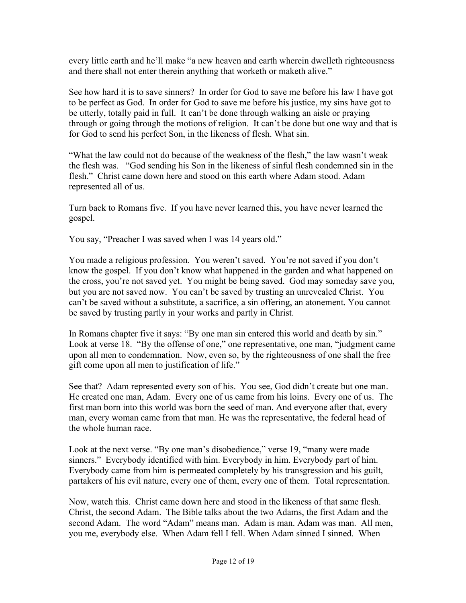every little earth and he'll make "a new heaven and earth wherein dwelleth righteousness and there shall not enter therein anything that worketh or maketh alive."

See how hard it is to save sinners? In order for God to save me before his law I have got to be perfect as God. In order for God to save me before his justice, my sins have got to be utterly, totally paid in full. It can't be done through walking an aisle or praying through or going through the motions of religion. It can't be done but one way and that is for God to send his perfect Son, in the likeness of flesh. What sin.

"What the law could not do because of the weakness of the flesh," the law wasn't weak the flesh was. "God sending his Son in the likeness of sinful flesh condemned sin in the flesh." Christ came down here and stood on this earth where Adam stood. Adam represented all of us.

Turn back to Romans five. If you have never learned this, you have never learned the gospel.

You say, "Preacher I was saved when I was 14 years old."

You made a religious profession. You weren't saved. You're not saved if you don't know the gospel. If you don't know what happened in the garden and what happened on the cross, you're not saved yet. You might be being saved. God may someday save you, but you are not saved now. You can't be saved by trusting an unrevealed Christ. You can't be saved without a substitute, a sacrifice, a sin offering, an atonement. You cannot be saved by trusting partly in your works and partly in Christ.

In Romans chapter five it says: "By one man sin entered this world and death by sin." Look at verse 18. "By the offense of one," one representative, one man, "judgment came upon all men to condemnation. Now, even so, by the righteousness of one shall the free gift come upon all men to justification of life."

See that? Adam represented every son of his. You see, God didn't create but one man. He created one man, Adam. Every one of us came from his loins. Every one of us. The first man born into this world was born the seed of man. And everyone after that, every man, every woman came from that man. He was the representative, the federal head of the whole human race.

Look at the next verse. "By one man's disobedience," verse 19, "many were made sinners." Everybody identified with him. Everybody in him. Everybody part of him. Everybody came from him is permeated completely by his transgression and his guilt, partakers of his evil nature, every one of them, every one of them. Total representation.

Now, watch this. Christ came down here and stood in the likeness of that same flesh. Christ, the second Adam. The Bible talks about the two Adams, the first Adam and the second Adam. The word "Adam" means man. Adam is man. Adam was man. All men, you me, everybody else. When Adam fell I fell. When Adam sinned I sinned. When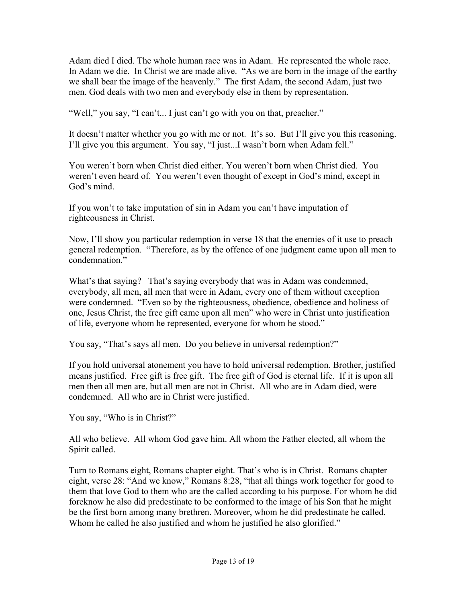Adam died I died. The whole human race was in Adam. He represented the whole race. In Adam we die. In Christ we are made alive. "As we are born in the image of the earthy we shall bear the image of the heavenly." The first Adam, the second Adam, just two men. God deals with two men and everybody else in them by representation.

"Well," you say, "I can't... I just can't go with you on that, preacher."

It doesn't matter whether you go with me or not. It's so. But I'll give you this reasoning. I'll give you this argument. You say, "I just...I wasn't born when Adam fell."

You weren't born when Christ died either. You weren't born when Christ died. You weren't even heard of. You weren't even thought of except in God's mind, except in God's mind.

If you won't to take imputation of sin in Adam you can't have imputation of righteousness in Christ.

Now, I'll show you particular redemption in verse 18 that the enemies of it use to preach general redemption. "Therefore, as by the offence of one judgment came upon all men to condemnation."

What's that saying? That's saying everybody that was in Adam was condemned, everybody, all men, all men that were in Adam, every one of them without exception were condemned. "Even so by the righteousness, obedience, obedience and holiness of one, Jesus Christ, the free gift came upon all men" who were in Christ unto justification of life, everyone whom he represented, everyone for whom he stood."

You say, "That's says all men. Do you believe in universal redemption?"

If you hold universal atonement you have to hold universal redemption. Brother, justified means justified. Free gift is free gift. The free gift of God is eternal life. If it is upon all men then all men are, but all men are not in Christ. All who are in Adam died, were condemned. All who are in Christ were justified.

You say, "Who is in Christ?"

All who believe. All whom God gave him. All whom the Father elected, all whom the Spirit called.

Turn to Romans eight, Romans chapter eight. That's who is in Christ. Romans chapter eight, verse 28: "And we know," Romans 8:28, "that all things work together for good to them that love God to them who are the called according to his purpose. For whom he did foreknow he also did predestinate to be conformed to the image of his Son that he might be the first born among many brethren. Moreover, whom he did predestinate he called. Whom he called he also justified and whom he justified he also glorified."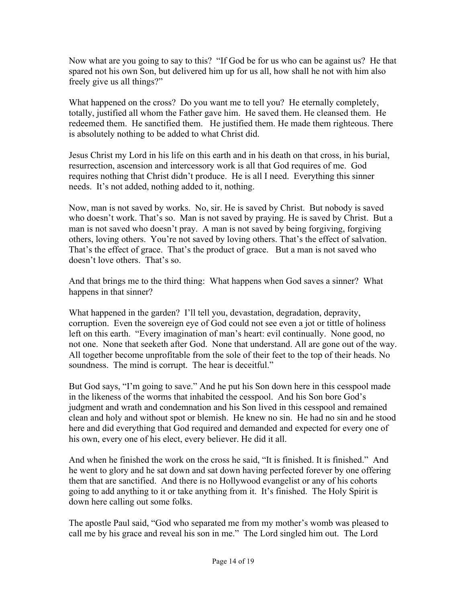Now what are you going to say to this? "If God be for us who can be against us? He that spared not his own Son, but delivered him up for us all, how shall he not with him also freely give us all things?"

What happened on the cross? Do you want me to tell you? He eternally completely, totally, justified all whom the Father gave him. He saved them. He cleansed them. He redeemed them. He sanctified them. He justified them. He made them righteous. There is absolutely nothing to be added to what Christ did.

Jesus Christ my Lord in his life on this earth and in his death on that cross, in his burial, resurrection, ascension and intercessory work is all that God requires of me. God requires nothing that Christ didn't produce. He is all I need. Everything this sinner needs. It's not added, nothing added to it, nothing.

Now, man is not saved by works. No, sir. He is saved by Christ. But nobody is saved who doesn't work. That's so. Man is not saved by praying. He is saved by Christ. But a man is not saved who doesn't pray. A man is not saved by being forgiving, forgiving others, loving others. You're not saved by loving others. That's the effect of salvation. That's the effect of grace. That's the product of grace. But a man is not saved who doesn't love others. That's so.

And that brings me to the third thing: What happens when God saves a sinner? What happens in that sinner?

What happened in the garden? I'll tell you, devastation, degradation, depravity, corruption. Even the sovereign eye of God could not see even a jot or tittle of holiness left on this earth. "Every imagination of man's heart: evil continually. None good, no not one. None that seeketh after God. None that understand. All are gone out of the way. All together become unprofitable from the sole of their feet to the top of their heads. No soundness. The mind is corrupt. The hear is deceitful."

But God says, "I'm going to save." And he put his Son down here in this cesspool made in the likeness of the worms that inhabited the cesspool. And his Son bore God's judgment and wrath and condemnation and his Son lived in this cesspool and remained clean and holy and without spot or blemish. He knew no sin. He had no sin and he stood here and did everything that God required and demanded and expected for every one of his own, every one of his elect, every believer. He did it all.

And when he finished the work on the cross he said, "It is finished. It is finished." And he went to glory and he sat down and sat down having perfected forever by one offering them that are sanctified. And there is no Hollywood evangelist or any of his cohorts going to add anything to it or take anything from it. It's finished. The Holy Spirit is down here calling out some folks.

The apostle Paul said, "God who separated me from my mother's womb was pleased to call me by his grace and reveal his son in me." The Lord singled him out. The Lord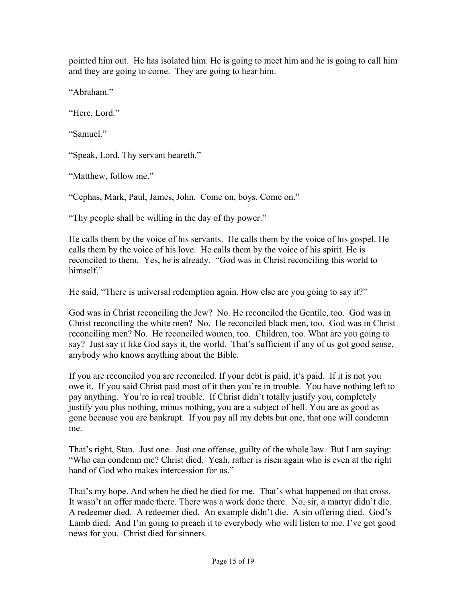pointed him out. He has isolated him. He is going to meet him and he is going to call him and they are going to come. They are going to hear him.

"Abraham."

"Here, Lord."

"Samuel"

"Speak, Lord. Thy servant heareth."

"Matthew, follow me."

"Cephas, Mark, Paul, James, John. Come on, boys. Come on."

"Thy people shall be willing in the day of thy power."

He calls them by the voice of his servants. He calls them by the voice of his gospel. He calls them by the voice of his love. He calls them by the voice of his spirit. He is reconciled to them. Yes, he is already. "God was in Christ reconciling this world to himself"

He said, "There is universal redemption again. How else are you going to say it?"

God was in Christ reconciling the Jew? No. He reconciled the Gentile, too. God was in Christ reconciling the white men? No. He reconciled black men, too. God was in Christ reconciling men? No. He reconciled women, too. Children, too. What are you going to say? Just say it like God says it, the world. That's sufficient if any of us got good sense, anybody who knows anything about the Bible.

If you are reconciled you are reconciled. If your debt is paid, it's paid. If it is not you owe it. If you said Christ paid most of it then you're in trouble. You have nothing left to pay anything. You're in real trouble. If Christ didn't totally justify you, completely justify you plus nothing, minus nothing, you are a subject of hell. You are as good as gone because you are bankrupt. If you pay all my debts but one, that one will condemn me.

That's right, Stan. Just one. Just one offense, guilty of the whole law. But I am saying: "Who can condemn me? Christ died. Yeah, rather is risen again who is even at the right hand of God who makes intercession for us."

That's my hope. And when he died he died for me. That's what happened on that cross. It wasn't an offer made there. There was a work done there. No, sir, a martyr didn't die. A redeemer died. A redeemer died. An example didn't die. A sin offering died. God's Lamb died. And I'm going to preach it to everybody who will listen to me. I've got good news for you. Christ died for sinners.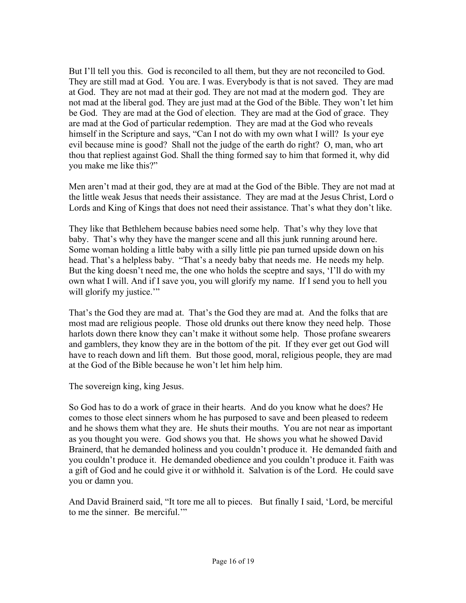But I'll tell you this. God is reconciled to all them, but they are not reconciled to God. They are still mad at God. You are. I was. Everybody is that is not saved. They are mad at God. They are not mad at their god. They are not mad at the modern god. They are not mad at the liberal god. They are just mad at the God of the Bible. They won't let him be God. They are mad at the God of election. They are mad at the God of grace. They are mad at the God of particular redemption. They are mad at the God who reveals himself in the Scripture and says, "Can I not do with my own what I will? Is your eye evil because mine is good? Shall not the judge of the earth do right? O, man, who art thou that repliest against God. Shall the thing formed say to him that formed it, why did you make me like this?"

Men aren't mad at their god, they are at mad at the God of the Bible. They are not mad at the little weak Jesus that needs their assistance. They are mad at the Jesus Christ, Lord o Lords and King of Kings that does not need their assistance. That's what they don't like.

They like that Bethlehem because babies need some help. That's why they love that baby. That's why they have the manger scene and all this junk running around here. Some woman holding a little baby with a silly little pie pan turned upside down on his head. That's a helpless baby. "That's a needy baby that needs me. He needs my help. But the king doesn't need me, the one who holds the sceptre and says, 'I'll do with my own what I will. And if I save you, you will glorify my name. If I send you to hell you will glorify my justice."

That's the God they are mad at. That's the God they are mad at. And the folks that are most mad are religious people. Those old drunks out there know they need help. Those harlots down there know they can't make it without some help. Those profane swearers and gamblers, they know they are in the bottom of the pit. If they ever get out God will have to reach down and lift them. But those good, moral, religious people, they are mad at the God of the Bible because he won't let him help him.

The sovereign king, king Jesus.

So God has to do a work of grace in their hearts. And do you know what he does? He comes to those elect sinners whom he has purposed to save and been pleased to redeem and he shows them what they are. He shuts their mouths. You are not near as important as you thought you were. God shows you that. He shows you what he showed David Brainerd, that he demanded holiness and you couldn't produce it. He demanded faith and you couldn't produce it. He demanded obedience and you couldn't produce it. Faith was a gift of God and he could give it or withhold it. Salvation is of the Lord. He could save you or damn you.

And David Brainerd said, "It tore me all to pieces. But finally I said, 'Lord, be merciful to me the sinner. Be merciful.'"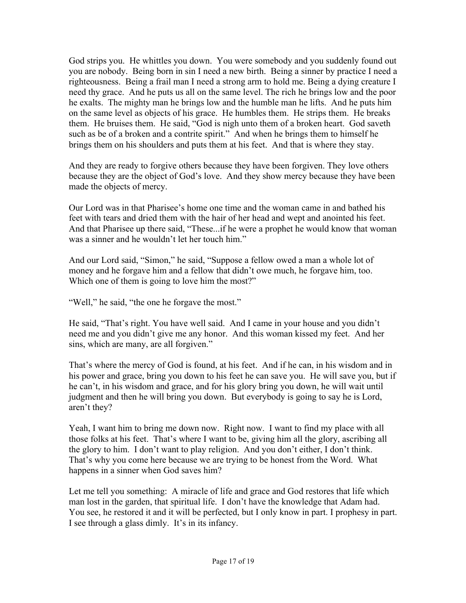God strips you. He whittles you down. You were somebody and you suddenly found out you are nobody. Being born in sin I need a new birth. Being a sinner by practice I need a righteousness. Being a frail man I need a strong arm to hold me. Being a dying creature I need thy grace. And he puts us all on the same level. The rich he brings low and the poor he exalts. The mighty man he brings low and the humble man he lifts. And he puts him on the same level as objects of his grace. He humbles them. He strips them. He breaks them. He bruises them. He said, "God is nigh unto them of a broken heart. God saveth such as be of a broken and a contrite spirit." And when he brings them to himself he brings them on his shoulders and puts them at his feet. And that is where they stay.

And they are ready to forgive others because they have been forgiven. They love others because they are the object of God's love. And they show mercy because they have been made the objects of mercy.

Our Lord was in that Pharisee's home one time and the woman came in and bathed his feet with tears and dried them with the hair of her head and wept and anointed his feet. And that Pharisee up there said, "These...if he were a prophet he would know that woman was a sinner and he wouldn't let her touch him."

And our Lord said, "Simon," he said, "Suppose a fellow owed a man a whole lot of money and he forgave him and a fellow that didn't owe much, he forgave him, too. Which one of them is going to love him the most?"

"Well," he said, "the one he forgave the most."

He said, "That's right. You have well said. And I came in your house and you didn't need me and you didn't give me any honor. And this woman kissed my feet. And her sins, which are many, are all forgiven."

That's where the mercy of God is found, at his feet. And if he can, in his wisdom and in his power and grace, bring you down to his feet he can save you. He will save you, but if he can't, in his wisdom and grace, and for his glory bring you down, he will wait until judgment and then he will bring you down. But everybody is going to say he is Lord, aren't they?

Yeah, I want him to bring me down now. Right now. I want to find my place with all those folks at his feet. That's where I want to be, giving him all the glory, ascribing all the glory to him. I don't want to play religion. And you don't either, I don't think. That's why you come here because we are trying to be honest from the Word. What happens in a sinner when God saves him?

Let me tell you something: A miracle of life and grace and God restores that life which man lost in the garden, that spiritual life. I don't have the knowledge that Adam had. You see, he restored it and it will be perfected, but I only know in part. I prophesy in part. I see through a glass dimly. It's in its infancy.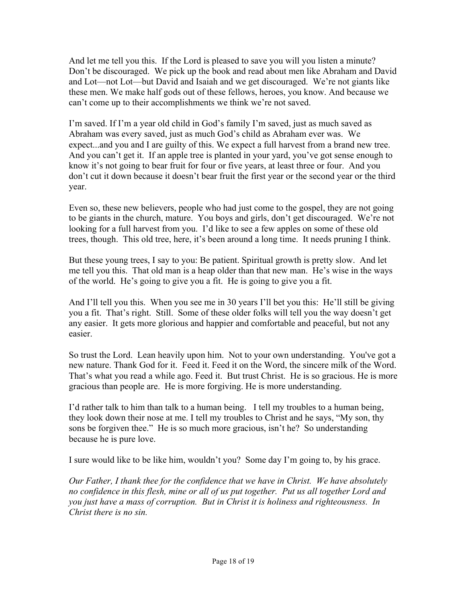And let me tell you this. If the Lord is pleased to save you will you listen a minute? Don't be discouraged. We pick up the book and read about men like Abraham and David and Lot—not Lot—but David and Isaiah and we get discouraged. We're not giants like these men. We make half gods out of these fellows, heroes, you know. And because we can't come up to their accomplishments we think we're not saved.

I'm saved. If I'm a year old child in God's family I'm saved, just as much saved as Abraham was every saved, just as much God's child as Abraham ever was. We expect...and you and I are guilty of this. We expect a full harvest from a brand new tree. And you can't get it. If an apple tree is planted in your yard, you've got sense enough to know it's not going to bear fruit for four or five years, at least three or four. And you don't cut it down because it doesn't bear fruit the first year or the second year or the third year.

Even so, these new believers, people who had just come to the gospel, they are not going to be giants in the church, mature. You boys and girls, don't get discouraged. We're not looking for a full harvest from you. I'd like to see a few apples on some of these old trees, though. This old tree, here, it's been around a long time. It needs pruning I think.

But these young trees, I say to you: Be patient. Spiritual growth is pretty slow. And let me tell you this. That old man is a heap older than that new man. He's wise in the ways of the world. He's going to give you a fit. He is going to give you a fit.

And I'll tell you this. When you see me in 30 years I'll bet you this: He'll still be giving you a fit. That's right. Still. Some of these older folks will tell you the way doesn't get any easier. It gets more glorious and happier and comfortable and peaceful, but not any easier.

So trust the Lord. Lean heavily upon him. Not to your own understanding. You've got a new nature. Thank God for it. Feed it. Feed it on the Word, the sincere milk of the Word. That's what you read a while ago. Feed it. But trust Christ. He is so gracious. He is more gracious than people are. He is more forgiving. He is more understanding.

I'd rather talk to him than talk to a human being. I tell my troubles to a human being, they look down their nose at me. I tell my troubles to Christ and he says, "My son, thy sons be forgiven thee." He is so much more gracious, isn't he? So understanding because he is pure love.

I sure would like to be like him, wouldn't you? Some day I'm going to, by his grace.

*Our Father, I thank thee for the confidence that we have in Christ. We have absolutely no confidence in this flesh, mine or all of us put together. Put us all together Lord and you just have a mass of corruption. But in Christ it is holiness and righteousness. In Christ there is no sin.*